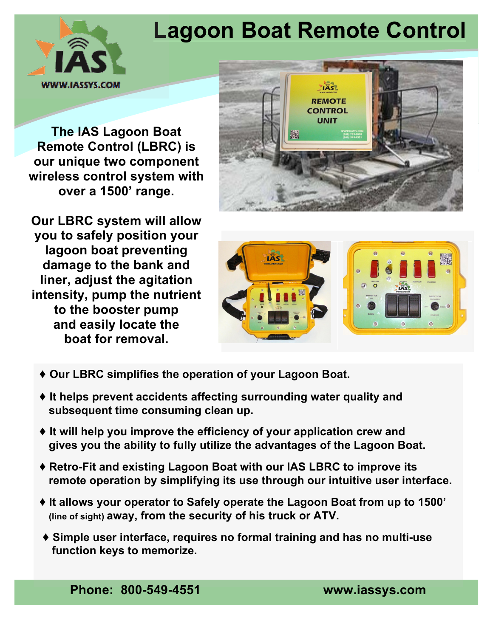## **Lagoon Boat Remote Control**



**The IAS Lagoon Boat Remote Control (LBRC) is our unique two component wireless control system with over a 1500' range.** 



**Our LBRC system will allow you to safely position your lagoon boat preventing damage to the bank and liner, adjust the agitation intensity, pump the nutrient to the booster pump and easily locate the boat for removal.** 



- ♦ **Our LBRC simplifies the operation of your Lagoon Boat.**
- **Subsequent time consuming clean up.**   *and the system of the system of the system of the system of the system of the system of the system of the system of the system of the system of the system of the system of the syst* ♦ **It helps prevent accidents affecting surrounding water quality and**
- **Inc (IAS)** *Lite Auto-Start™* **solution leverages**  ◆ It will help you improve the efficiency of your application crew and gives you the ability to fully utilize the advantages of the Lagoon Boat.
- **point into our remote irrigation control**  ♦ **Retro-Fit and existing Lagoon Boat with our IAS LBRC to improve its product line is the compression**<br>In the through our infultive user interfa **closure for electric and engine driven pumps remote operation by simplifying its use through our intuitive user interface.**
- $\blacklozenge$  It allows your operator to Safely operate the Lagoon Boat from up to 1500' (line of sight) **away, from the security of his truck or ATV.**
- **standard heavy duty discharge pressure**  ♦ Simple user interface, requires no formal training and has no multi-use  **function keys to memorize.**